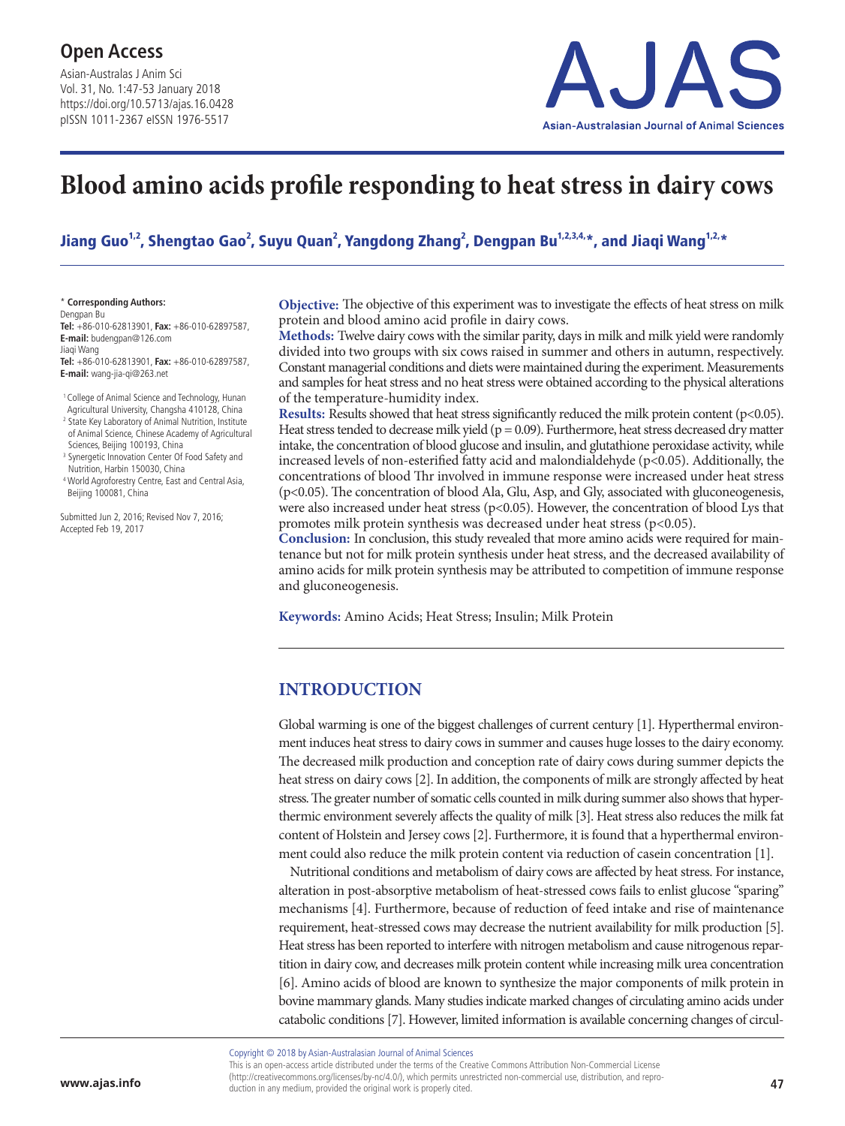Asian-Australas J Anim Sci Vol. 31, No. 1:47-53 January 2018 https://doi.org/10.5713/ajas.16.0428 pISSN 1011-2367 eISSN 1976-5517



# **Blood amino acids profile responding to heat stress in dairy cows**

Jiang Guo<sup>1,2</sup>, Shengtao Gao<sup>2</sup>, Suyu Quan<sup>2</sup>, Yangdong Zhang<sup>2</sup>, Dengpan Bu<sup>1,2,3,4,</sup>\*, and Jiaqi Wang<sup>1,2,</sup>\*

\* **Corresponding Authors:**

Dengpan Bu **Tel:** +86-010-62813901, **Fax:** +86-010-62897587, **E-mail:** budengpan@126.com

Jiaqi Wang **Tel:** +86-010-62813901, **Fax:** +86-010-62897587,

**E-mail:** wang-jia-qi@263.net

<sup>1</sup> College of Animal Science and Technology, Hunan

- Agricultural University, Changsha 410128, China <sup>2</sup> State Key Laboratory of Animal Nutrition, Institute of Animal Science, Chinese Academy of Agricultural
- Sciences, Beijing 100193, China <sup>3</sup> Synergetic Innovation Center Of Food Safety and
- Nutrition, Harbin 150030, China
- <sup>4</sup> World Agroforestry Centre, East and Central Asia, Beijing 100081, China

Submitted Jun 2, 2016; Revised Nov 7, 2016; Accepted Feb 19, 2017

**Objective:** The objective of this experiment was to investigate the effects of heat stress on milk protein and blood amino acid profile in dairy cows.

**Methods:** Twelve dairy cows with the similar parity, days in milk and milk yield were randomly divided into two groups with six cows raised in summer and others in autumn, respectively. Constant managerial conditions and diets were maintained during the experiment. Measurements and samples for heat stress and no heat stress were obtained according to the physical alterations of the temperature-humidity index.

**Results:** Results showed that heat stress significantly reduced the milk protein content (p<0.05). Heat stress tended to decrease milk yield ( $p = 0.09$ ). Furthermore, heat stress decreased dry matter intake, the concentration of blood glucose and insulin, and glutathione peroxidase activity, while increased levels of non-esterified fatty acid and malondialdehyde ( $p<0.05$ ). Additionally, the concentrations of blood Thr involved in immune response were increased under heat stress (p<0.05). The concentration of blood Ala, Glu, Asp, and Gly, associated with gluconeogenesis, were also increased under heat stress ( $p<0.05$ ). However, the concentration of blood Lys that promotes milk protein synthesis was decreased under heat stress (p<0.05).

**Conclusion:** In conclusion, this study revealed that more amino acids were required for maintenance but not for milk protein synthesis under heat stress, and the decreased availability of amino acids for milk protein synthesis may be attributed to competition of immune response and gluconeogenesis.

**Keywords:** Amino Acids; Heat Stress; Insulin; Milk Protein

## **INTRODUCTION**

Global warming is one of the biggest challenges of current century [1]. Hyperthermal environment induces heat stress to dairy cows in summer and causes huge losses to the dairy economy. The decreased milk production and conception rate of dairy cows during summer depicts the heat stress on dairy cows [2]. In addition, the components of milk are strongly affected by heat stress. The greater number of somatic cells counted in milk during summer also shows that hyperthermic environment severely affects the quality of milk [3]. Heat stress also reduces the milk fat content of Holstein and Jersey cows [2]. Furthermore, it is found that a hyperthermal environment could also reduce the milk protein content via reduction of casein concentration [1].

Nutritional conditions and metabolism of dairy cows are affected by heat stress. For instance, alteration in post-absorptive metabolism of heat-stressed cows fails to enlist glucose "sparing" mechanisms [4]. Furthermore, because of reduction of feed intake and rise of maintenance requirement, heat-stressed cows may decrease the nutrient availability for milk production [5]. Heat stress has been reported to interfere with nitrogen metabolism and cause nitrogenous repartition in dairy cow, and decreases milk protein content while increasing milk urea concentration [6]. Amino acids of blood are known to synthesize the major components of milk protein in bovine mammary glands. Many studies indicate marked changes of circulating amino acids under catabolic conditions [7]. However, limited information is available concerning changes of circul-

Copyright © 2018 by Asian-Australasian Journal of Animal Sciences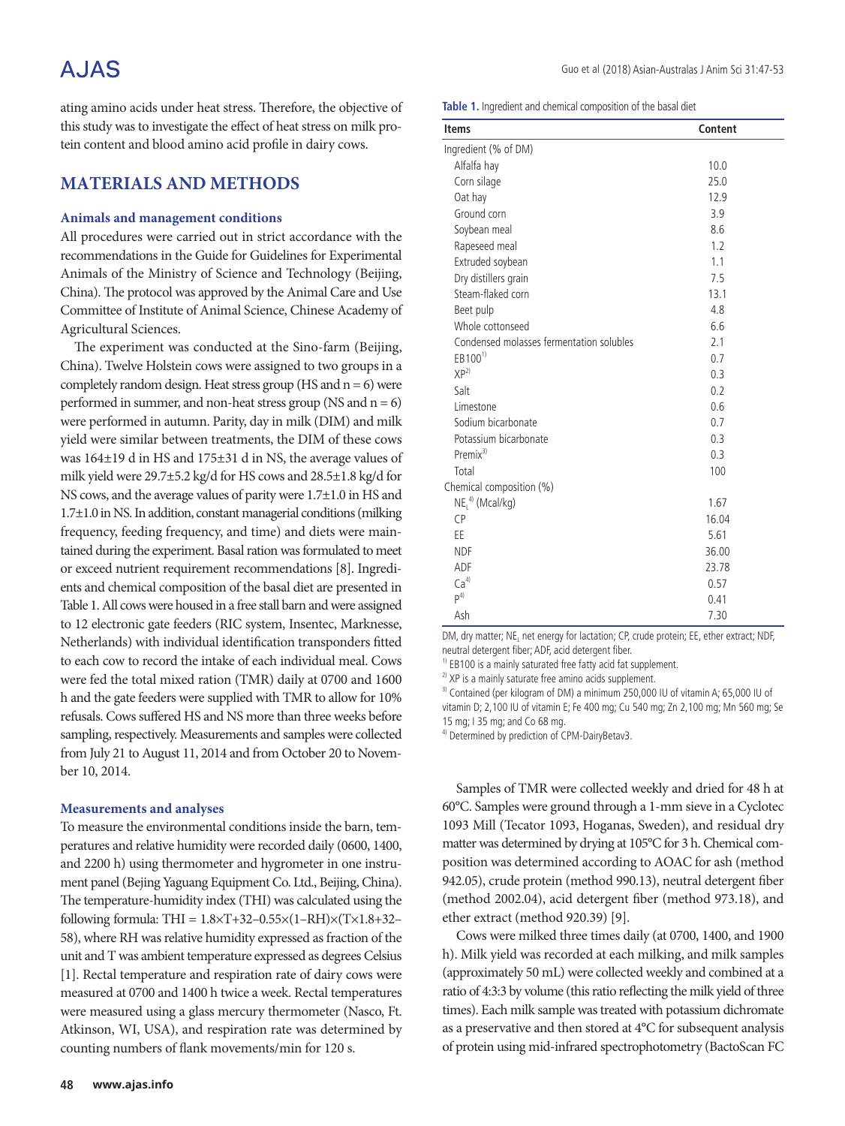# A.JAS

ating amino acids under heat stress. Therefore, the objective of this study was to investigate the effect of heat stress on milk protein content and blood amino acid profile in dairy cows.

### **MATERIALS AND METHODS**

#### **Animals and management conditions**

All procedures were carried out in strict accordance with the recommendations in the Guide for Guidelines for Experimental Animals of the Ministry of Science and Technology (Beijing, China). The protocol was approved by the Animal Care and Use Committee of Institute of Animal Science, Chinese Academy of Agricultural Sciences.

The experiment was conducted at the Sino-farm (Beijing, China). Twelve Holstein cows were assigned to two groups in a completely random design. Heat stress group (HS and  $n = 6$ ) were performed in summer, and non-heat stress group (NS and  $n = 6$ ) were performed in autumn. Parity, day in milk (DIM) and milk yield were similar between treatments, the DIM of these cows was 164±19 d in HS and 175±31 d in NS, the average values of milk yield were 29.7±5.2 kg/d for HS cows and 28.5±1.8 kg/d for NS cows, and the average values of parity were 1.7±1.0 in HS and 1.7±1.0 in NS. In addition, constant managerial conditions (milking frequency, feeding frequency, and time) and diets were maintained during the experiment. Basal ration was formulated to meet or exceed nutrient requirement recommendations [8]. Ingredients and chemical composition of the basal diet are presented in Table 1. All cows were housed in a free stall barn and were assigned to 12 electronic gate feeders (RIC system, Insentec, Marknesse, Netherlands) with individual identification transponders fitted to each cow to record the intake of each individual meal. Cows were fed the total mixed ration (TMR) daily at 0700 and 1600 h and the gate feeders were supplied with TMR to allow for 10% refusals. Cows suffered HS and NS more than three weeks before sampling, respectively. Measurements and samples were collected from July 21 to August 11, 2014 and from October 20 to November 10, 2014.

#### **Measurements and analyses**

To measure the environmental conditions inside the barn, temperatures and relative humidity were recorded daily (0600, 1400, and 2200 h) using thermometer and hygrometer in one instrument panel (Bejing Yaguang Equipment Co. Ltd., Beijing, China). The temperature-humidity index (THI) was calculated using the following formula: THI =  $1.8 \times T + 32 - 0.55 \times (1 - RH) \times (T \times 1.8 + 32 -$ 58), where RH was relative humidity expressed as fraction of the unit and T was ambient temperature expressed as degrees Celsius [1]. Rectal temperature and respiration rate of dairy cows were measured at 0700 and 1400 h twice a week. Rectal temperatures were measured using a glass mercury thermometer (Nasco, Ft. Atkinson, WI, USA), and respiration rate was determined by counting numbers of flank movements/min for 120 s.

**Table 1.** Ingredient and chemical composition of the basal diet

| <b>Items</b>                             | Content |
|------------------------------------------|---------|
| Ingredient (% of DM)                     |         |
| Alfalfa hay                              | 10.0    |
| Corn silage                              | 25.0    |
| Oat hay                                  | 12.9    |
| Ground corn                              | 3.9     |
| Soybean meal                             | 8.6     |
| Rapeseed meal                            | 1.2     |
| Extruded soybean                         | 1.1     |
| Dry distillers grain                     | 7.5     |
| Steam-flaked corn                        | 13.1    |
| Beet pulp                                | 4.8     |
| Whole cottonseed                         | 6.6     |
| Condensed molasses fermentation solubles | 2.1     |
| $EB100^{1}$                              | 0.7     |
| XP <sup>2</sup>                          | 0.3     |
| Salt                                     | 0.2     |
| Limestone                                | 0.6     |
| Sodium bicarbonate                       | 0.7     |
| Potassium bicarbonate                    | 0.3     |
| Premix $3$                               | 0.3     |
| Total                                    | 100     |
| Chemical composition (%)                 |         |
| $NEL4)$ (Mcal/kg)                        | 1.67    |
| <b>CP</b>                                | 16.04   |
| EE                                       | 5.61    |
| <b>NDF</b>                               | 36.00   |
| ADF                                      | 23.78   |
| Ca <sup>4</sup>                          | 0.57    |
| P <sup>4</sup>                           | 0.41    |
| Ash                                      | 7.30    |

DM, dry matter; NE<sub>I</sub> net energy for lactation; CP, crude protein; EE, ether extract; NDF, neutral detergent fiber; ADF, acid detergent fiber.

 $<sup>1</sup>$  EB100 is a mainly saturated free fatty acid fat supplement.</sup>

 $2)$  XP is a mainly saturate free amino acids supplement.

<sup>3)</sup> Contained (per kilogram of DM) a minimum 250,000 IU of vitamin A; 65,000 IU of vitamin D; 2,100 IU of vitamin E; Fe 400 mg; Cu 540 mg; Zn 2,100 mg; Mn 560 mg; Se 15 mg; I 35 mg; and Co 68 mg.

<sup>4)</sup> Determined by prediction of CPM-DairyBetav3.

Samples of TMR were collected weekly and dried for 48 h at 60°C. Samples were ground through a 1-mm sieve in a Cyclotec 1093 Mill (Tecator 1093, Hoganas, Sweden), and residual dry matter was determined by drying at 105°C for 3 h. Chemical composition was determined according to AOAC for ash (method 942.05), crude protein (method 990.13), neutral detergent fiber (method 2002.04), acid detergent fiber (method 973.18), and ether extract (method 920.39) [9].

Cows were milked three times daily (at 0700, 1400, and 1900 h). Milk yield was recorded at each milking, and milk samples (approximately 50 mL) were collected weekly and combined at a ratio of 4:3:3 by volume (this ratio reflecting the milk yield of three times). Each milk sample was treated with potassium dichromate as a preservative and then stored at 4°C for subsequent analysis of protein using mid-infrared spectrophotometry (BactoScan FC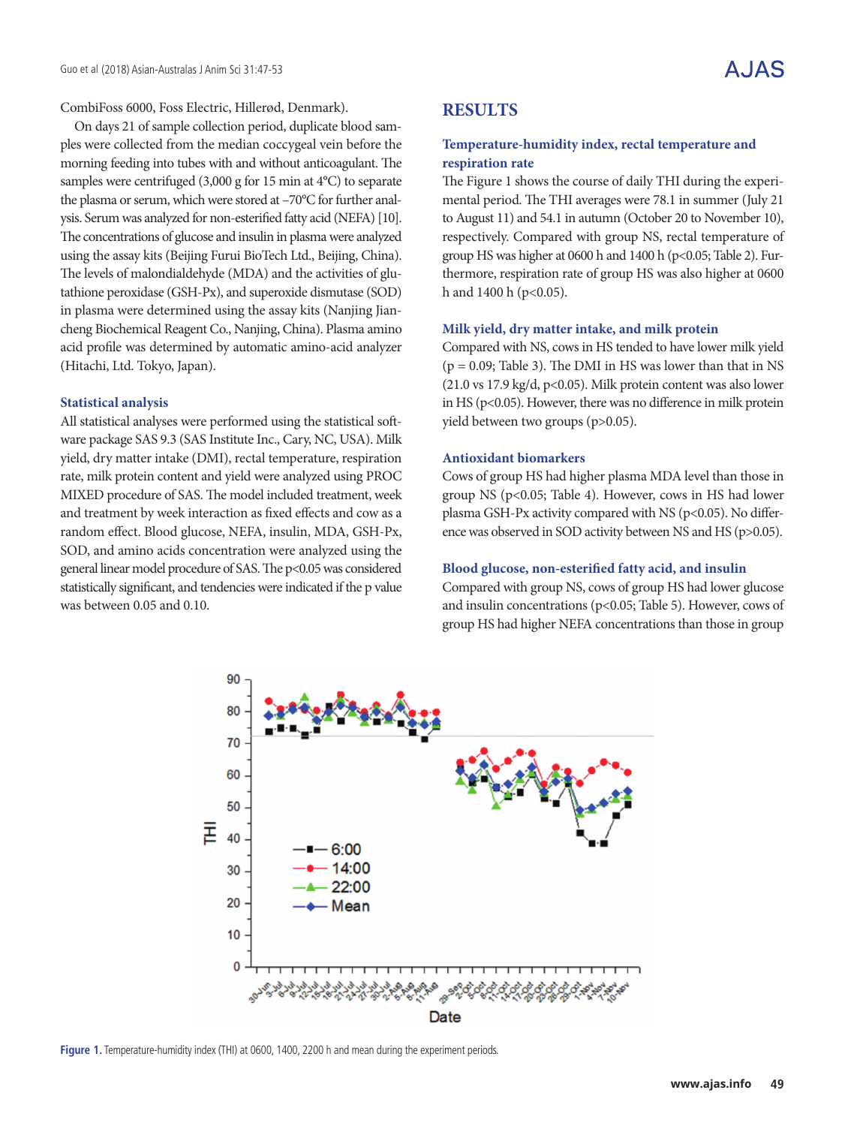CombiFoss 6000, Foss Electric, Hillerød, Denmark).

On days 21 of sample collection period, duplicate blood samples were collected from the median coccygeal vein before the morning feeding into tubes with and without anticoagulant. The samples were centrifuged (3,000 g for 15 min at 4°C) to separate the plasma or serum, which were stored at –70°C for further analysis. Serum was analyzed for non-esterified fatty acid (NEFA) [10]. The concentrations of glucose and insulin in plasma were analyzed using the assay kits (Beijing Furui BioTech Ltd., Beijing, China). The levels of malondialdehyde (MDA) and the activities of glutathione peroxidase (GSH-Px), and superoxide dismutase (SOD) in plasma were determined using the assay kits (Nanjing Jiancheng Biochemical Reagent Co., Nanjing, China). Plasma amino acid profile was determined by automatic amino-acid analyzer (Hitachi, Ltd. Tokyo, Japan).

#### **Statistical analysis**

All statistical analyses were performed using the statistical software package SAS 9.3 (SAS Institute Inc., Cary, NC, USA). Milk yield, dry matter intake (DMI), rectal temperature, respiration rate, milk protein content and yield were analyzed using PROC MIXED procedure of SAS. The model included treatment, week and treatment by week interaction as fixed effects and cow as a random effect. Blood glucose, NEFA, insulin, MDA, GSH-Px, SOD, and amino acids concentration were analyzed using the general linear model procedure of SAS. The p<0.05 was considered statistically significant, and tendencies were indicated if the p value was between 0.05 and 0.10.

### **RESULTS**

### **Temperature-humidity index, rectal temperature and respiration rate**

The Figure 1 shows the course of daily THI during the experimental period. The THI averages were 78.1 in summer (July 21 to August 11) and 54.1 in autumn (October 20 to November 10), respectively. Compared with group NS, rectal temperature of group HS was higher at 0600 h and 1400 h (p<0.05; Table 2). Furthermore, respiration rate of group HS was also higher at 0600 h and  $1400 h$  ( $p < 0.05$ ).

#### **Milk yield, dry matter intake, and milk protein**

Compared with NS, cows in HS tended to have lower milk yield  $(p = 0.09;$  Table 3). The DMI in HS was lower than that in NS (21.0 vs 17.9 kg/d, p<0.05). Milk protein content was also lower in HS (p<0.05). However, there was no difference in milk protein yield between two groups (p>0.05).

#### **Antioxidant biomarkers**

Cows of group HS had higher plasma MDA level than those in group NS (p<0.05; Table 4). However, cows in HS had lower plasma GSH-Px activity compared with NS ( $p<0.05$ ). No difference was observed in SOD activity between NS and HS (p>0.05).

#### **Blood glucose, non-esterified fatty acid, and insulin**

Compared with group NS, cows of group HS had lower glucose and insulin concentrations (p<0.05; Table 5). However, cows of group HS had higher NEFA concentrations than those in group



Figure 1. Temperature-humidity index (THI) at 0600, 1400, 2200 h and mean during the experiment periods.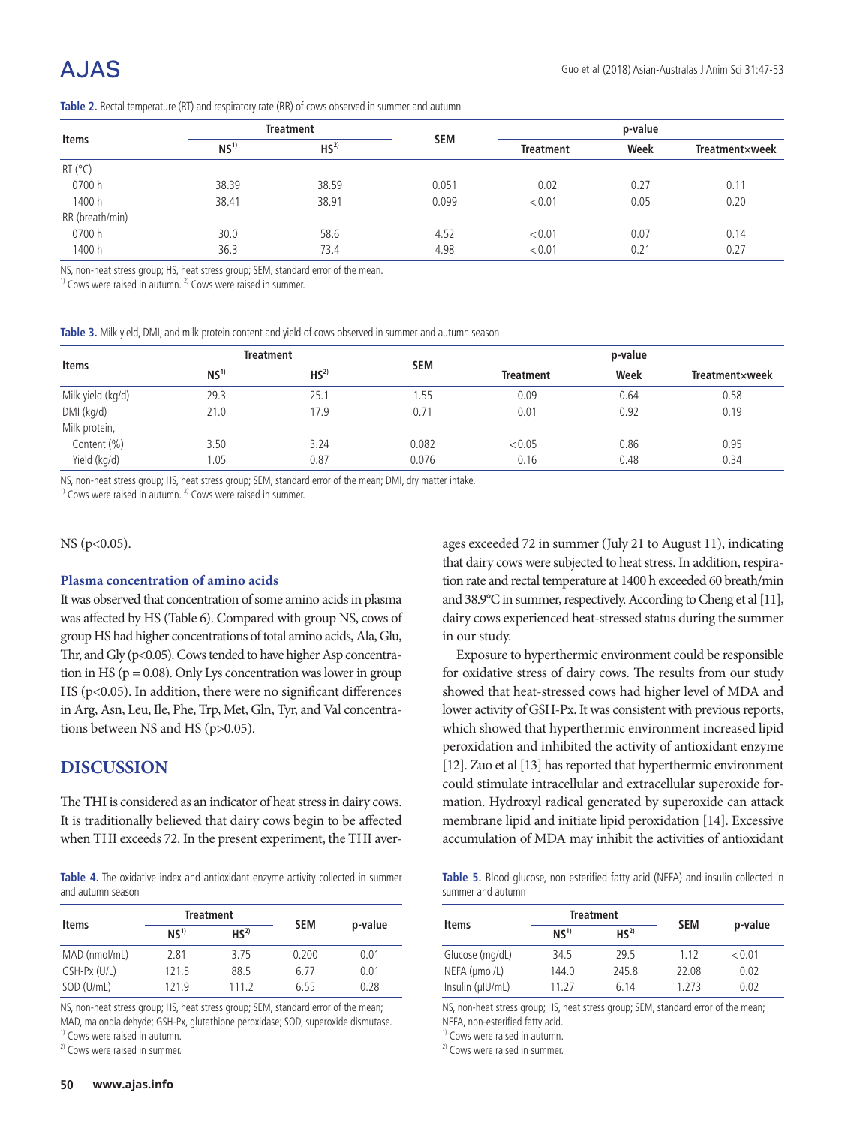| <b>Items</b>    | <b>Treatment</b> |                 |            | p-value          |      |                |
|-----------------|------------------|-----------------|------------|------------------|------|----------------|
|                 | NS <sup>1</sup>  | HS <sup>2</sup> | <b>SEM</b> | <b>Treatment</b> | Week | Treatmentxweek |
| $RT$ ( $°C$ )   |                  |                 |            |                  |      |                |
| 0700 h          | 38.39            | 38.59           | 0.051      | 0.02             | 0.27 | 0.11           |
| 1400 h          | 38.41            | 38.91           | 0.099      | < 0.01           | 0.05 | 0.20           |
| RR (breath/min) |                  |                 |            |                  |      |                |
| 0700h           | 30.0             | 58.6            | 4.52       | < 0.01           | 0.07 | 0.14           |
| 1400 h          | 36.3             | 73.4            | 4.98       | < 0.01           | 0.21 | 0.27           |

**Table 2.** Rectal temperature (RT) and respiratory rate (RR) of cows observed in summer and autumn

NS, non-heat stress group; HS, heat stress group; SEM, standard error of the mean.

 $1)$  Cows were raised in autumn.  $2)$  Cows were raised in summer.

|  |  | Table 3. Milk vield. DMI, and milk protein content and vield of cows observed in summer and autumn season |  |  |  |  |
|--|--|-----------------------------------------------------------------------------------------------------------|--|--|--|--|
|--|--|-----------------------------------------------------------------------------------------------------------|--|--|--|--|

| <b>Items</b>      |                 | <b>Treatment</b> |            | p-value          |      |                |
|-------------------|-----------------|------------------|------------|------------------|------|----------------|
|                   | NS <sup>1</sup> | HS <sup>2</sup>  | <b>SEM</b> | <b>Treatment</b> | Week | Treatment×week |
| Milk yield (kg/d) | 29.3            | 25.1             | 1.55       | 0.09             | 0.64 | 0.58           |
| DMI (kg/d)        | 21.0            | 17.9             | 0.71       | 0.01             | 0.92 | 0.19           |
| Milk protein,     |                 |                  |            |                  |      |                |
| Content (%)       | 3.50            | 3.24             | 0.082      | < 0.05           | 0.86 | 0.95           |
| Yield (kg/d)      | 1.05            | 0.87             | 0.076      | 0.16             | 0.48 | 0.34           |

NS, non-heat stress group; HS, heat stress group; SEM, standard error of the mean; DMI, dry matter intake.

 $1)$  Cows were raised in autumn.  $2)$  Cows were raised in summer.

#### NS (p<0.05).

#### **Plasma concentration of amino acids**

It was observed that concentration of some amino acids in plasma was affected by HS (Table 6). Compared with group NS, cows of group HS had higher concentrations of total amino acids, Ala, Glu, Thr, and Gly (p<0.05). Cows tended to have higher Asp concentration in HS ( $p = 0.08$ ). Only Lys concentration was lower in group HS (p<0.05). In addition, there were no significant differences in Arg, Asn, Leu, Ile, Phe, Trp, Met, Gln, Tyr, and Val concentrations between NS and HS (p>0.05).

### **DISCUSSION**

The THI is considered as an indicator of heat stress in dairy cows. It is traditionally believed that dairy cows begin to be affected when THI exceeds 72. In the present experiment, the THI aver-

**Table 4.** The oxidative index and antioxidant enzyme activity collected in summer and autumn season

| <b>Items</b>  |                 | <b>Treatment</b> |            |         |
|---------------|-----------------|------------------|------------|---------|
|               | NS <sup>1</sup> | HS <sup>2</sup>  | <b>SEM</b> | p-value |
| MAD (nmol/mL) | 2.81            | 3.75             | 0.200      | 0.01    |
| GSH-Px (U/L)  | 121.5           | 88.5             | 6.77       | 0.01    |
| SOD (U/mL)    | 121.9           | 111.2            | 6.55       | 0.28    |

NS, non-heat stress group; HS, heat stress group; SEM, standard error of the mean; MAD, malondialdehyde; GSH-Px, glutathione peroxidase; SOD, superoxide dismutase. <sup>1)</sup> Cows were raised in autumn.

<sup>2)</sup> Cows were raised in summer.

ages exceeded 72 in summer (July 21 to August 11), indicating that dairy cows were subjected to heat stress. In addition, respiration rate and rectal temperature at 1400 h exceeded 60 breath/min and 38.9°C in summer, respectively. According to Cheng et al [11], dairy cows experienced heat-stressed status during the summer in our study.

Exposure to hyperthermic environment could be responsible for oxidative stress of dairy cows. The results from our study showed that heat-stressed cows had higher level of MDA and lower activity of GSH-Px. It was consistent with previous reports, which showed that hyperthermic environment increased lipid peroxidation and inhibited the activity of antioxidant enzyme [12]. Zuo et al [13] has reported that hyperthermic environment could stimulate intracellular and extracellular superoxide formation. Hydroxyl radical generated by superoxide can attack membrane lipid and initiate lipid peroxidation [14]. Excessive accumulation of MDA may inhibit the activities of antioxidant

**Table 5.** Blood glucose, non-esterified fatty acid (NEFA) and insulin collected in summer and autumn

| <b>Items</b>     |                 | <b>Treatment</b> |            |         |
|------------------|-----------------|------------------|------------|---------|
|                  | NS <sup>1</sup> | HS <sup>2</sup>  | <b>SEM</b> | p-value |
| Glucose (mg/dL)  | 34.5            | 29.5             | 1.12       | < 0.01  |
| NEFA (umol/L)    | 144.0           | 245.8            | 22.08      | 0.02    |
| Insulin (µIU/mL) | 11 27           | 6.14             | 1.273      | 0.02    |

NS, non-heat stress group; HS, heat stress group; SEM, standard error of the mean; NEFA, non-esterified fatty acid.

<sup>1)</sup> Cows were raised in autumn.

<sup>2)</sup> Cows were raised in summer.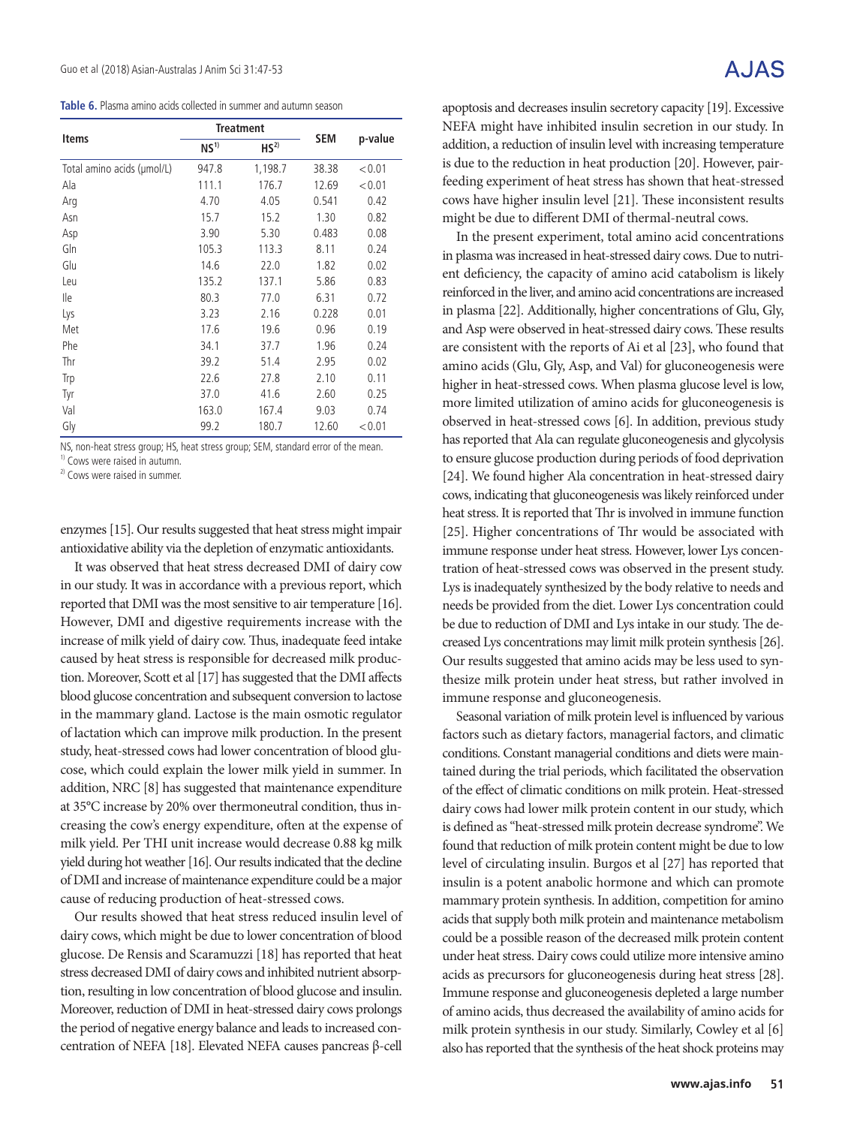**Table 6.** Plasma amino acids collected in summer and autumn season

|                            |                 | <b>Treatment</b> |            |         |
|----------------------------|-----------------|------------------|------------|---------|
| Items                      | NS <sup>1</sup> | HS <sup>2</sup>  | <b>SEM</b> | p-value |
| Total amino acids (µmol/L) | 947.8           | 1,198.7          | 38.38      | < 0.01  |
| Ala                        | 111.1           | 176.7            | 12.69      | < 0.01  |
| Arg                        | 4.70            | 4.05             | 0.541      | 0.42    |
| Asn                        | 15.7            | 15.2             | 1.30       | 0.82    |
| Asp                        | 3.90            | 5.30             | 0.483      | 0.08    |
| Gln                        | 105.3           | 113.3            | 8.11       | 0.24    |
| Glu                        | 14.6            | 22.0             | 1.82       | 0.02    |
| Leu                        | 135.2           | 137.1            | 5.86       | 0.83    |
| lle                        | 80.3            | 77.0             | 6.31       | 0.72    |
| Lys                        | 3.23            | 2.16             | 0.228      | 0.01    |
| Met                        | 17.6            | 19.6             | 0.96       | 0.19    |
| Phe                        | 34.1            | 37.7             | 1.96       | 0.24    |
| Thr                        | 39.2            | 51.4             | 2.95       | 0.02    |
| Trp                        | 22.6            | 27.8             | 2.10       | 0.11    |
| Tyr                        | 37.0            | 41.6             | 2.60       | 0.25    |
| Val                        | 163.0           | 167.4            | 9.03       | 0.74    |
| Gly                        | 99.2            | 180.7            | 12.60      | < 0.01  |

NS, non-heat stress group; HS, heat stress group; SEM, standard error of the mean.

<sup>1)</sup> Cows were raised in autumn.

<sup>2)</sup> Cows were raised in summer.

enzymes [15]. Our results suggested that heat stress might impair antioxidative ability via the depletion of enzymatic antioxidants.

It was observed that heat stress decreased DMI of dairy cow in our study. It was in accordance with a previous report, which reported that DMI was the most sensitive to air temperature [16]. However, DMI and digestive requirements increase with the increase of milk yield of dairy cow. Thus, inadequate feed intake caused by heat stress is responsible for decreased milk production. Moreover, Scott et al [17] has suggested that the DMI affects blood glucose concentration and subsequent conversion to lactose in the mammary gland. Lactose is the main osmotic regulator of lactation which can improve milk production. In the present study, heat-stressed cows had lower concentration of blood glucose, which could explain the lower milk yield in summer. In addition, NRC [8] has suggested that maintenance expenditure at 35°C increase by 20% over thermoneutral condition, thus increasing the cow's energy expenditure, often at the expense of milk yield. Per THI unit increase would decrease 0.88 kg milk yield during hot weather [16]. Our results indicated that the decline of DMI and increase of maintenance expenditure could be a major cause of reducing production of heat-stressed cows.

Our results showed that heat stress reduced insulin level of dairy cows, which might be due to lower concentration of blood glucose. De Rensis and Scaramuzzi [18] has reported that heat stress decreased DMI of dairy cows and inhibited nutrient absorption, resulting in low concentration of blood glucose and insulin. Moreover, reduction of DMI in heat-stressed dairy cows prolongs the period of negative energy balance and leads to increased concentration of NEFA [18]. Elevated NEFA causes pancreas β-cell

apoptosis and decreases insulin secretory capacity [19]. Excessive NEFA might have inhibited insulin secretion in our study. In addition, a reduction of insulin level with increasing temperature is due to the reduction in heat production [20]. However, pairfeeding experiment of heat stress has shown that heat-stressed cows have higher insulin level [21]. These inconsistent results might be due to different DMI of thermal-neutral cows.

In the present experiment, total amino acid concentrations in plasma was increased in heat-stressed dairy cows. Due to nutrient deficiency, the capacity of amino acid catabolism is likely reinforced in the liver, and amino acid concentrations are increased in plasma [22]. Additionally, higher concentrations of Glu, Gly, and Asp were observed in heat-stressed dairy cows. These results are consistent with the reports of Ai et al [23], who found that amino acids (Glu, Gly, Asp, and Val) for gluconeogenesis were higher in heat-stressed cows. When plasma glucose level is low, more limited utilization of amino acids for gluconeogenesis is observed in heat-stressed cows [6]. In addition, previous study has reported that Ala can regulate gluconeogenesis and glycolysis to ensure glucose production during periods of food deprivation [24]. We found higher Ala concentration in heat-stressed dairy cows, indicating that gluconeogenesis was likely reinforced under heat stress. It is reported that Thr is involved in immune function [25]. Higher concentrations of Thr would be associated with immune response under heat stress. However, lower Lys concentration of heat-stressed cows was observed in the present study. Lys is inadequately synthesized by the body relative to needs and needs be provided from the diet. Lower Lys concentration could be due to reduction of DMI and Lys intake in our study. The decreased Lys concentrations may limit milk protein synthesis [26]. Our results suggested that amino acids may be less used to synthesize milk protein under heat stress, but rather involved in immune response and gluconeogenesis.

Seasonal variation of milk protein level is influenced by various factors such as dietary factors, managerial factors, and climatic conditions. Constant managerial conditions and diets were maintained during the trial periods, which facilitated the observation of the effect of climatic conditions on milk protein. Heat-stressed dairy cows had lower milk protein content in our study, which is defined as "heat-stressed milk protein decrease syndrome". We found that reduction of milk protein content might be due to low level of circulating insulin. Burgos et al [27] has reported that insulin is a potent anabolic hormone and which can promote mammary protein synthesis. In addition, competition for amino acids that supply both milk protein and maintenance metabolism could be a possible reason of the decreased milk protein content under heat stress. Dairy cows could utilize more intensive amino acids as precursors for gluconeogenesis during heat stress [28]. Immune response and gluconeogenesis depleted a large number of amino acids, thus decreased the availability of amino acids for milk protein synthesis in our study. Similarly, Cowley et al [6] also has reported that the synthesis of the heat shock proteins may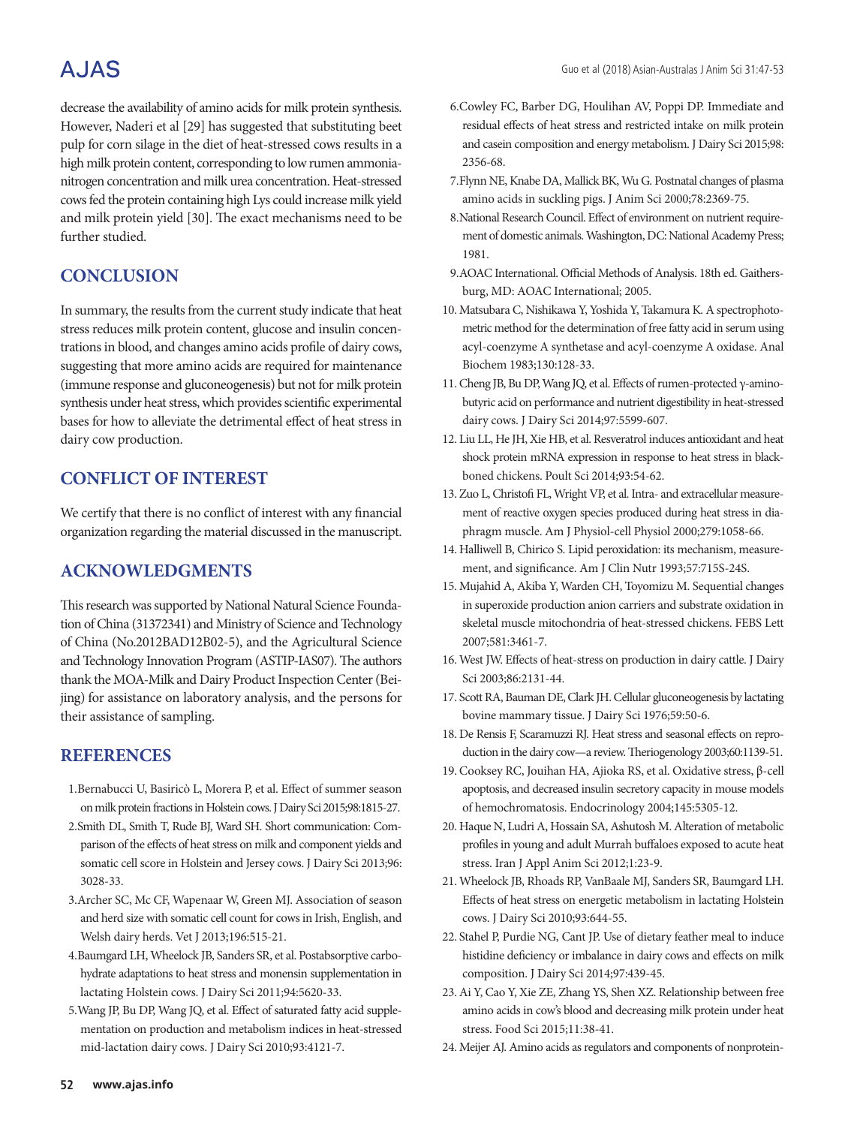#### Guo et al (2018) Asian-Australas J Anim Sci 31:47-53

# **AJAS**

decrease the availability of amino acids for milk protein synthesis. However, Naderi et al [29] has suggested that substituting beet pulp for corn silage in the diet of heat-stressed cows results in a high milk protein content, corresponding to low rumen ammonianitrogen concentration and milk urea concentration. Heat-stressed cows fed the protein containing high Lys could increase milk yield and milk protein yield [30]. The exact mechanisms need to be further studied.

## **CONCLUSION**

In summary, the results from the current study indicate that heat stress reduces milk protein content, glucose and insulin concentrations in blood, and changes amino acids profile of dairy cows, suggesting that more amino acids are required for maintenance (immune response and gluconeogenesis) but not for milk protein synthesis under heat stress, which provides scientific experimental bases for how to alleviate the detrimental effect of heat stress in dairy cow production.

## **CONFLICT OF INTEREST**

We certify that there is no conflict of interest with any financial organization regarding the material discussed in the manuscript.

## **ACKNOWLEDGMENTS**

This research was supported by National Natural Science Foundation of China (31372341) and Ministry of Science and Technology of China (No.2012BAD12B02-5), and the Agricultural Science and Technology Innovation Program (ASTIP-IAS07). The authors thank the MOA-Milk and Dairy Product Inspection Center (Beijing) for assistance on laboratory analysis, and the persons for their assistance of sampling.

## **REFERENCES**

- 1.Bernabucci U, Basiricò L, Morera P, et al. Effect of summer season on milk protein fractions in Holstein cows. J Dairy Sci 2015;98:1815-27.
- 2.Smith DL, Smith T, Rude BJ, Ward SH. Short communication: Comparison of the effects of heat stress on milk and component yields and somatic cell score in Holstein and Jersey cows. J Dairy Sci 2013;96: 3028-33.
- 3.Archer SC, Mc CF, Wapenaar W, Green MJ. Association of season and herd size with somatic cell count for cows in Irish, English, and Welsh dairy herds. Vet J 2013;196:515-21.
- 4.Baumgard LH, Wheelock JB, Sanders SR, et al. Postabsorptive carbohydrate adaptations to heat stress and monensin supplementation in lactating Holstein cows. J Dairy Sci 2011;94:5620-33.
- 5.Wang JP, Bu DP, Wang JQ, et al. Effect of saturated fatty acid supplementation on production and metabolism indices in heat-stressed mid-lactation dairy cows. J Dairy Sci 2010;93:4121-7.
- 6.Cowley FC, Barber DG, Houlihan AV, Poppi DP. Immediate and residual effects of heat stress and restricted intake on milk protein and casein composition and energy metabolism. J Dairy Sci 2015;98: 2356-68.
- 7.Flynn NE, Knabe DA, Mallick BK, Wu G. Postnatal changes of plasma amino acids in suckling pigs. J Anim Sci 2000;78:2369-75.
- 8.National Research Council. Effect of environment on nutrient requirement of domestic animals. Washington, DC: National Academy Press; 1981.
- 9.AOAC International. Official Methods of Analysis. 18th ed. Gaithersburg, MD: AOAC International; 2005.
- 10. Matsubara C, Nishikawa Y, Yoshida Y, Takamura K. A spectrophotometric method for the determination of free fatty acid in serum using acyl-coenzyme A synthetase and acyl-coenzyme A oxidase. Anal Biochem 1983;130:128-33.
- 11.Cheng JB, Bu DP, Wang JQ, et al. Effects of rumen-protected γ-aminobutyric acid on performance and nutrient digestibility in heat-stressed dairy cows. J Dairy Sci 2014;97:5599-607.
- 12. Liu LL, He JH, Xie HB, et al. Resveratrol induces antioxidant and heat shock protein mRNA expression in response to heat stress in blackboned chickens. Poult Sci 2014;93:54-62.
- 13. Zuo L, Christofi FL, Wright VP, et al. Intra- and extracellular measurement of reactive oxygen species produced during heat stress in diaphragm muscle. Am J Physiol-cell Physiol 2000;279:1058-66.
- 14. Halliwell B, Chirico S. Lipid peroxidation: its mechanism, measurement, and significance. Am J Clin Nutr 1993;57:715S-24S.
- 15. Mujahid A, Akiba Y, Warden CH, Toyomizu M. Sequential changes in superoxide production anion carriers and substrate oxidation in skeletal muscle mitochondria of heat-stressed chickens. FEBS Lett 2007;581:3461-7.
- 16. West JW. Effects of heat-stress on production in dairy cattle. J Dairy Sci 2003;86:2131-44.
- 17. Scott RA, Bauman DE, Clark JH. Cellular gluconeogenesis by lactating bovine mammary tissue. J Dairy Sci 1976;59:50-6.
- 18. De Rensis F, Scaramuzzi RJ. Heat stress and seasonal effects on reproduction in the dairy cow—a review. Theriogenology 2003;60:1139-51.
- 19.Cooksey RC, Jouihan HA, Ajioka RS, et al. Oxidative stress, β-cell apoptosis, and decreased insulin secretory capacity in mouse models of hemochromatosis. Endocrinology 2004;145:5305-12.
- 20. Haque N, Ludri A, Hossain SA, Ashutosh M. Alteration of metabolic profiles in young and adult Murrah buffaloes exposed to acute heat stress. Iran J Appl Anim Sci 2012;1:23-9.
- 21. Wheelock JB, Rhoads RP, VanBaale MJ, Sanders SR, Baumgard LH. Effects of heat stress on energetic metabolism in lactating Holstein cows. J Dairy Sci 2010;93:644-55.
- 22. Stahel P, Purdie NG, Cant JP. Use of dietary feather meal to induce histidine deficiency or imbalance in dairy cows and effects on milk composition. J Dairy Sci 2014;97:439-45.
- 23.Ai Y, Cao Y, Xie ZE, Zhang YS, Shen XZ. Relationship between free amino acids in cow's blood and decreasing milk protein under heat stress. Food Sci 2015;11:38-41.
- 24. Meijer AJ. Amino acids as regulators and components of nonprotein-